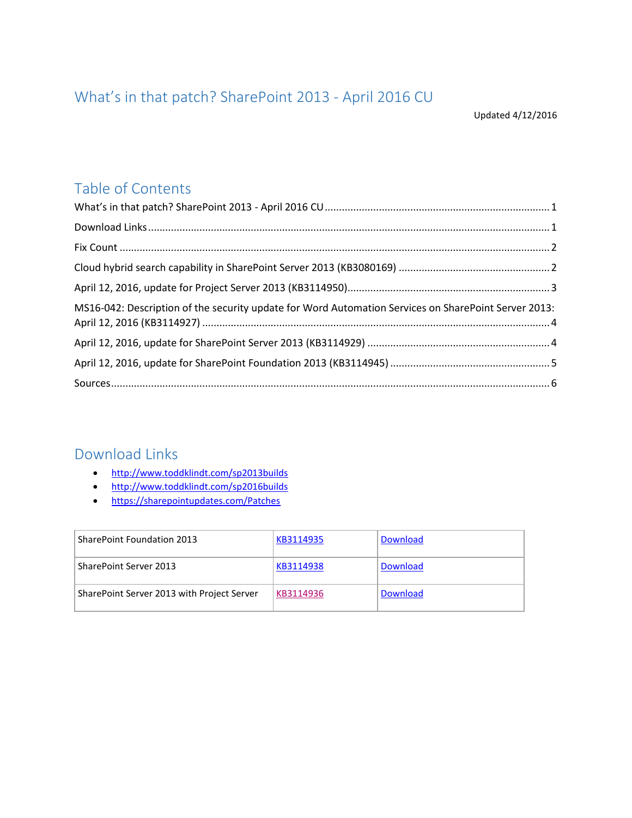# <span id="page-0-0"></span>What's in that patch? SharePoint 2013 - April 2016 CU

## Table of Contents

| MS16-042: Description of the security update for Word Automation Services on SharePoint Server 2013: |  |
|------------------------------------------------------------------------------------------------------|--|
|                                                                                                      |  |
|                                                                                                      |  |
|                                                                                                      |  |

#### <span id="page-0-1"></span>Download Links

- <http://www.toddklindt.com/sp2013builds>
- <http://www.toddklindt.com/sp2016builds>
- <https://sharepointupdates.com/Patches>

| SharePoint Foundation 2013                 | KB3114935 | <b>Download</b> |
|--------------------------------------------|-----------|-----------------|
| SharePoint Server 2013                     | KB3114938 | <b>Download</b> |
| SharePoint Server 2013 with Project Server | KB3114936 | Download        |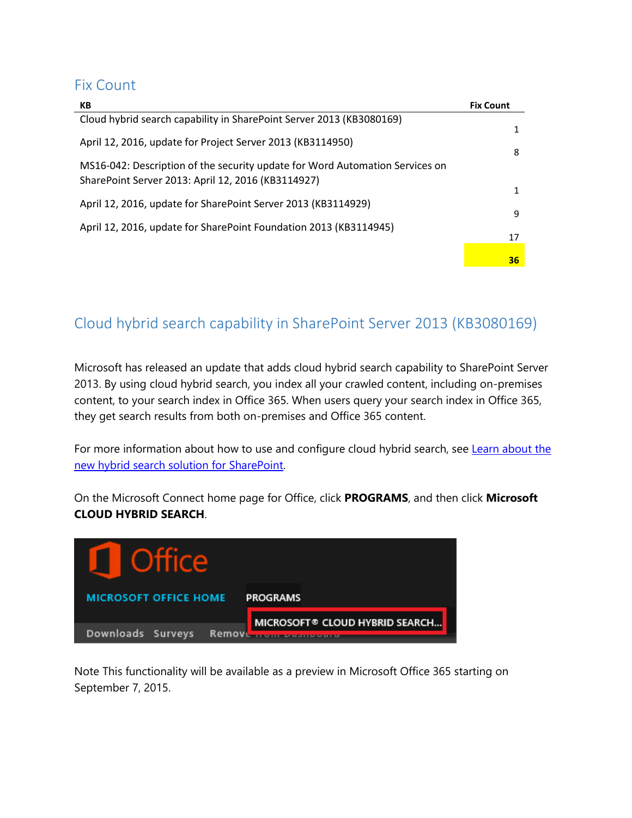#### <span id="page-1-0"></span>Fix Count

| KB                                                                                                                                 | <b>Fix Count</b> |
|------------------------------------------------------------------------------------------------------------------------------------|------------------|
| Cloud hybrid search capability in SharePoint Server 2013 (KB3080169)                                                               |                  |
| April 12, 2016, update for Project Server 2013 (KB3114950)                                                                         |                  |
| MS16-042: Description of the security update for Word Automation Services on<br>SharePoint Server 2013: April 12, 2016 (KB3114927) | 8                |
|                                                                                                                                    |                  |
| April 12, 2016, update for SharePoint Server 2013 (KB3114929)                                                                      | 9                |
| April 12, 2016, update for SharePoint Foundation 2013 (KB3114945)                                                                  | 17               |
|                                                                                                                                    | 36               |

### <span id="page-1-1"></span>Cloud hybrid search capability in SharePoint Server 2013 (KB3080169)

Microsoft has released an update that adds cloud hybrid search capability to SharePoint Server 2013. By using cloud hybrid search, you index all your crawled content, including on-premises content, to your search index in Office 365. When users query your search index in Office 365, they get search results from both on-premises and Office 365 content.

For more information about how to use and configure cloud hybrid search, see Learn about the [new hybrid search solution for SharePoint.](https://connect.microsoft.com/office/SelfNomination.aspx?ProgramID=8647&pageType=1)

On the Microsoft Connect home page for Office, click **PROGRAMS**, and then click **Microsoft CLOUD HYBRID SEARCH**.



Note This functionality will be available as a preview in Microsoft Office 365 starting on September 7, 2015.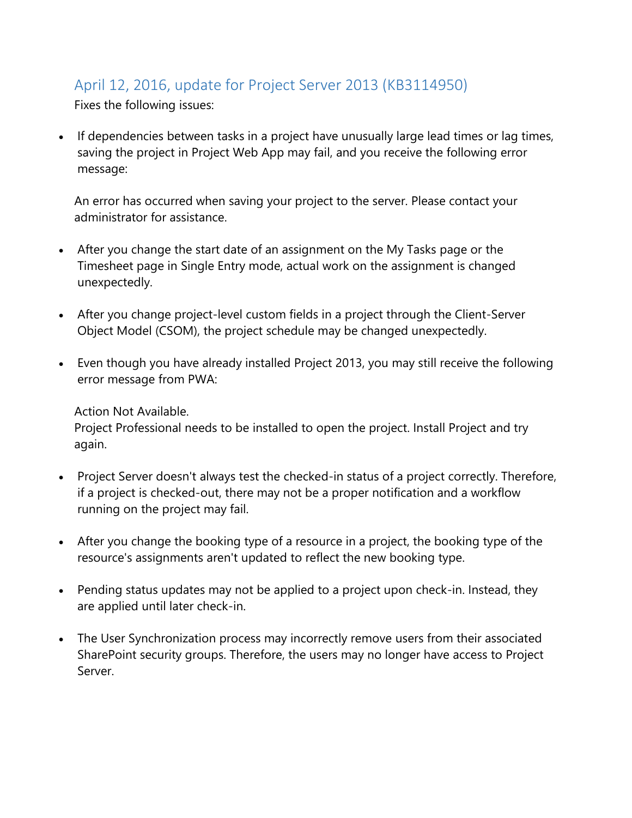## <span id="page-2-0"></span>April 12, 2016, update for Project Server 2013 (KB3114950)

Fixes the following issues:

• If dependencies between tasks in a project have unusually large lead times or lag times, saving the project in Project Web App may fail, and you receive the following error message:

An error has occurred when saving your project to the server. Please contact your administrator for assistance.

- After you change the start date of an assignment on the My Tasks page or the Timesheet page in Single Entry mode, actual work on the assignment is changed unexpectedly.
- After you change project-level custom fields in a project through the Client-Server Object Model (CSOM), the project schedule may be changed unexpectedly.
- Even though you have already installed Project 2013, you may still receive the following error message from PWA:

Action Not Available.

Project Professional needs to be installed to open the project. Install Project and try again.

- Project Server doesn't always test the checked-in status of a project correctly. Therefore, if a project is checked-out, there may not be a proper notification and a workflow running on the project may fail.
- After you change the booking type of a resource in a project, the booking type of the resource's assignments aren't updated to reflect the new booking type.
- Pending status updates may not be applied to a project upon check-in. Instead, they are applied until later check-in.
- The User Synchronization process may incorrectly remove users from their associated SharePoint security groups. Therefore, the users may no longer have access to Project Server.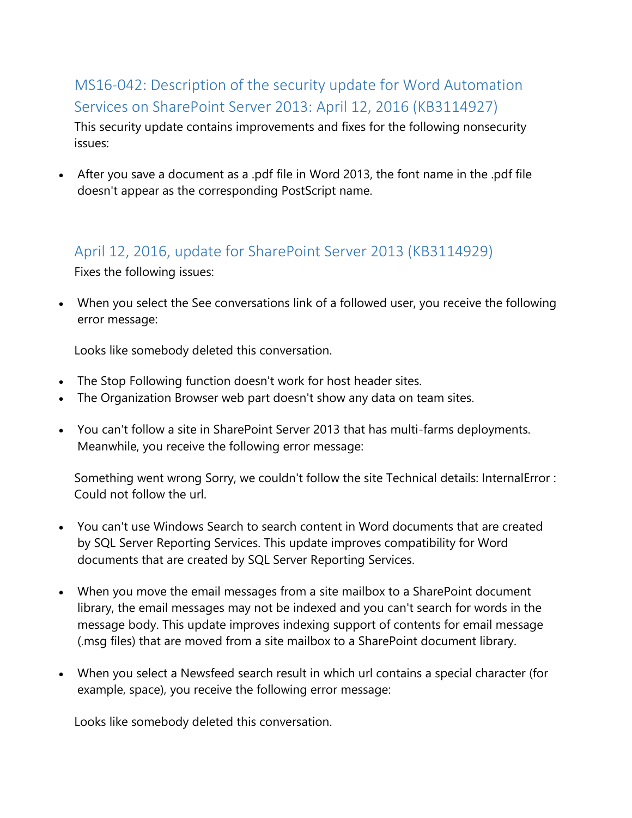# <span id="page-3-0"></span>MS16-042: Description of the security update for Word Automation Services on SharePoint Server 2013: April 12, 2016 (KB3114927)

This security update contains improvements and fixes for the following nonsecurity issues:

 After you save a document as a .pdf file in Word 2013, the font name in the .pdf file doesn't appear as the corresponding PostScript name.

### <span id="page-3-1"></span>April 12, 2016, update for SharePoint Server 2013 (KB3114929)

Fixes the following issues:

 When you select the See conversations link of a followed user, you receive the following error message:

Looks like somebody deleted this conversation.

- The Stop Following function doesn't work for host header sites.
- The Organization Browser web part doesn't show any data on team sites.
- You can't follow a site in SharePoint Server 2013 that has multi-farms deployments. Meanwhile, you receive the following error message:

Something went wrong Sorry, we couldn't follow the site Technical details: InternalError : Could not follow the url.

- You can't use Windows Search to search content in Word documents that are created by SQL Server Reporting Services. This update improves compatibility for Word documents that are created by SQL Server Reporting Services.
- When you move the email messages from a site mailbox to a SharePoint document library, the email messages may not be indexed and you can't search for words in the message body. This update improves indexing support of contents for email message (.msg files) that are moved from a site mailbox to a SharePoint document library.
- When you select a Newsfeed search result in which url contains a special character (for example, space), you receive the following error message:

Looks like somebody deleted this conversation.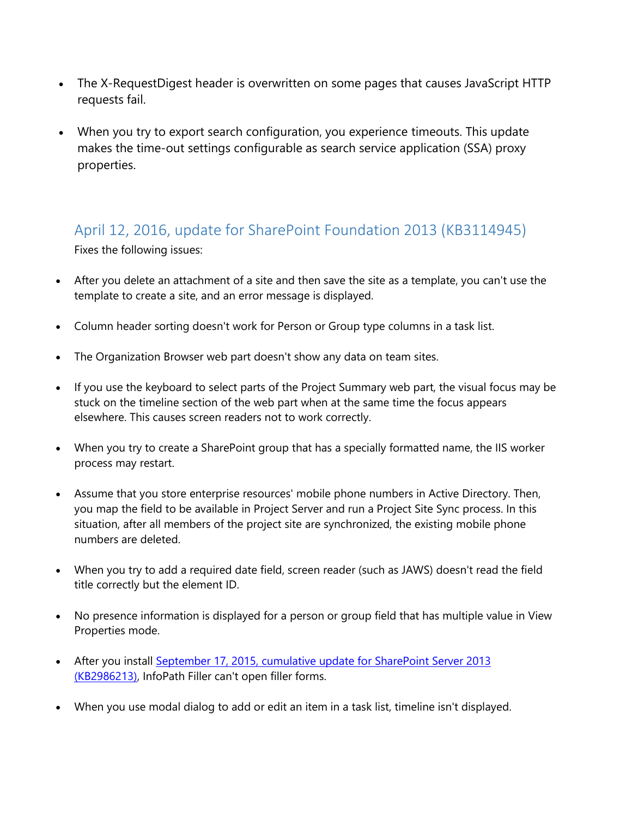- The X-RequestDigest header is overwritten on some pages that causes JavaScript HTTP requests fail.
- When you try to export search configuration, you experience timeouts. This update makes the time-out settings configurable as search service application (SSA) proxy properties.

### <span id="page-4-0"></span>April 12, 2016, update for SharePoint Foundation 2013 (KB3114945)

Fixes the following issues:

- After you delete an attachment of a site and then save the site as a template, you can't use the template to create a site, and an error message is displayed.
- Column header sorting doesn't work for Person or Group type columns in a task list.
- The Organization Browser web part doesn't show any data on team sites.
- If you use the keyboard to select parts of the Project Summary web part, the visual focus may be stuck on the timeline section of the web part when at the same time the focus appears elsewhere. This causes screen readers not to work correctly.
- When you try to create a SharePoint group that has a specially formatted name, the IIS worker process may restart.
- Assume that you store enterprise resources' mobile phone numbers in Active Directory. Then, you map the field to be available in Project Server and run a Project Site Sync process. In this situation, after all members of the project site are synchronized, the existing mobile phone numbers are deleted.
- When you try to add a required date field, screen reader (such as JAWS) doesn't read the field title correctly but the element ID.
- No presence information is displayed for a person or group field that has multiple value in View Properties mode.
- After you install [September 17, 2015, cumulative update for SharePoint Server 2013](https://support.microsoft.com/kb/2986213)  [\(KB2986213\),](https://support.microsoft.com/kb/2986213) InfoPath Filler can't open filler forms.
- When you use modal dialog to add or edit an item in a task list, timeline isn't displayed.